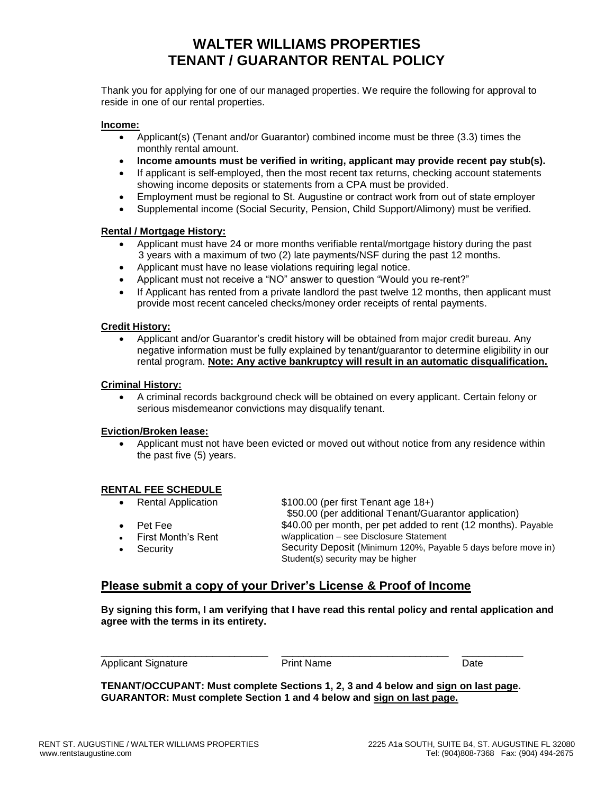## **WALTER WILLIAMS PROPERTIES TENANT / GUARANTOR RENTAL POLICY**

Thank you for applying for one of our managed properties. We require the following for approval to reside in one of our rental properties.

### **Income:**

- Applicant(s) (Tenant and/or Guarantor) combined income must be three (3.3) times the monthly rental amount.
- **Income amounts must be verified in writing, applicant may provide recent pay stub(s).**
- If applicant is self-employed, then the most recent tax returns, checking account statements showing income deposits or statements from a CPA must be provided.
- Employment must be regional to St. Augustine or contract work from out of state employer
- Supplemental income (Social Security, Pension, Child Support/Alimony) must be verified.

### **Rental / Mortgage History:**

- Applicant must have 24 or more months verifiable rental/mortgage history during the past 3 years with a maximum of two (2) late payments/NSF during the past 12 months.
- Applicant must have no lease violations requiring legal notice.
- Applicant must not receive a "NO" answer to question "Would you re-rent?"
- If Applicant has rented from a private landlord the past twelve 12 months, then applicant must provide most recent canceled checks/money order receipts of rental payments.

#### **Credit History:**

• Applicant and/or Guarantor's credit history will be obtained from major credit bureau. Any negative information must be fully explained by tenant/guarantor to determine eligibility in our rental program. **Note: Any active bankruptcy will result in an automatic disqualification.**

#### **Criminal History:**

• A criminal records background check will be obtained on every applicant. Certain felony or serious misdemeanor convictions may disqualify tenant.

#### **Eviction/Broken lease:**

• Applicant must not have been evicted or moved out without notice from any residence within the past five (5) years.

### **RENTAL FEE SCHEDULE**

• Rental Application

\$100.00 (per first Tenant age 18+)

 \$50.00 (per additional Tenant/Guarantor application) \$40.00 per month, per pet added to rent (12 months). Payable

• Pet Fee

**Security** 

- 
- First Month's Rent
- w/application see Disclosure Statement Security Deposit (Minimum 120%, Payable 5 days before move in) Student(s) security may be higher

## **Please submit a copy of your Driver's License & Proof of Income**

**By signing this form, I am verifying that I have read this rental policy and rental application and agree with the terms in its entirety.**

Applicant Signature **Print Name** Print Name **Date** 

\_\_\_\_\_\_\_\_\_\_\_\_\_\_\_\_\_\_\_\_\_\_\_\_\_\_\_\_\_\_ \_\_\_\_\_\_\_\_\_\_\_\_\_\_\_\_\_\_\_\_\_\_\_\_\_\_\_\_\_\_ \_\_\_\_\_\_\_\_\_\_\_

**TENANT/OCCUPANT: Must complete Sections 1, 2, 3 and 4 below and sign on last page. GUARANTOR: Must complete Section 1 and 4 below and sign on last page.**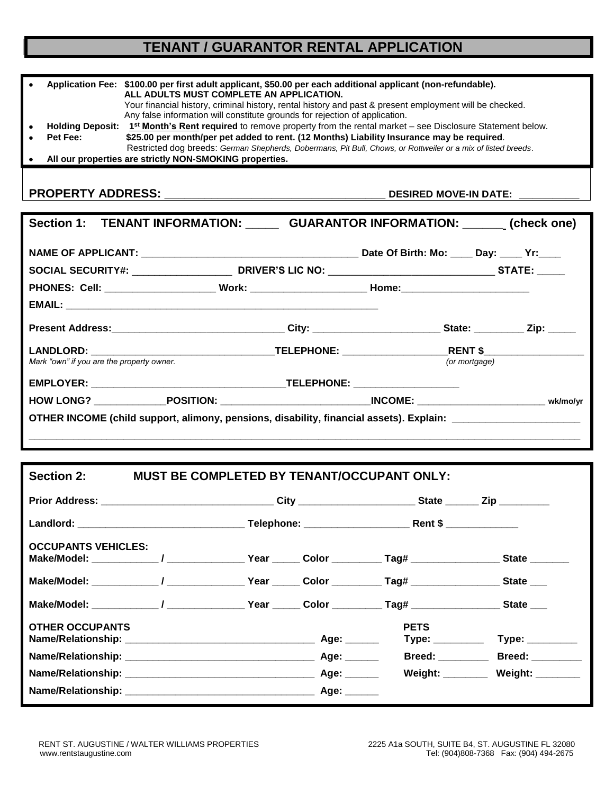# **TENANT / GUARANTOR RENTAL APPLICATION**

|          | Application Fee: \$100.00 per first adult applicant, \$50.00 per each additional applicant (non-refundable).                              |  |  |
|----------|-------------------------------------------------------------------------------------------------------------------------------------------|--|--|
|          | ALL ADULTS MUST COMPLETE AN APPLICATION.                                                                                                  |  |  |
|          | Your financial history, criminal history, rental history and past & present employment will be checked.                                   |  |  |
|          | Any false information will constitute grounds for rejection of application.                                                               |  |  |
|          | <b>Holding Deposit:</b> $1^{st}$ <b>Month's Rent required</b> to remove property from the rental market – see Disclosure Statement below. |  |  |
| Pet Fee: | \$25.00 per month/per pet added to rent. (12 Months) Liability Insurance may be required.                                                 |  |  |
|          | Restricted dog breeds: German Shepherds, Dobermans, Pit Bull, Chows, or Rottweiler or a mix of listed breeds.                             |  |  |
|          | All our properties are strictly NON-SMOKING properties.                                                                                   |  |  |

**PROPERTY ADDRESS: \_\_\_\_\_\_\_\_\_\_\_\_\_\_\_\_\_\_\_\_\_\_\_\_\_\_\_\_\_\_\_\_\_ DESIRED MOVE-IN DATE: \_\_\_\_\_\_\_\_\_**

| Section 1: TENANT INFORMATION: GUARANTOR INFORMATION: ______ (check one)                                      |  |  |               |  |  |
|---------------------------------------------------------------------------------------------------------------|--|--|---------------|--|--|
|                                                                                                               |  |  |               |  |  |
|                                                                                                               |  |  |               |  |  |
| PHONES: Cell: ___________________________Work: __________________________Home:______________________          |  |  |               |  |  |
|                                                                                                               |  |  |               |  |  |
| Present Address:_________________________________City: _________________________State: ____________Zip: _____ |  |  |               |  |  |
|                                                                                                               |  |  |               |  |  |
| Mark "own" if you are the property owner.                                                                     |  |  | (or mortgage) |  |  |
|                                                                                                               |  |  |               |  |  |
|                                                                                                               |  |  |               |  |  |
| OTHER INCOME (child support, alimony, pensions, disability, financial assets). Explain: _____________________ |  |  |               |  |  |

| <b>MUST BE COMPLETED BY TENANT/OCCUPANT ONLY:</b><br>Section 2:                                                                          |  |  |  |                                |                                  |
|------------------------------------------------------------------------------------------------------------------------------------------|--|--|--|--------------------------------|----------------------------------|
| Prior Address: _________________________________City _____________________State _______ Zip _________                                    |  |  |  |                                |                                  |
|                                                                                                                                          |  |  |  |                                |                                  |
| <b>OCCUPANTS VEHICLES:</b><br>Make/Model: _____________/ _______________Year ______ Color __________Tag# _________________State ________ |  |  |  |                                |                                  |
| Make/Model: ______________/ ________________Year ______ Color __________Tag# __________________State ____                                |  |  |  |                                |                                  |
| Make/Model: ____________/ _____________Year _____ Color _________Tag# _______________State ___                                           |  |  |  |                                |                                  |
| <b>OTHER OCCUPANTS</b>                                                                                                                   |  |  |  | <b>PETS</b><br>Type: _________ | Type: _________                  |
|                                                                                                                                          |  |  |  |                                | Breed: Breed:                    |
|                                                                                                                                          |  |  |  |                                | Weight: ________ Weight: _______ |
|                                                                                                                                          |  |  |  |                                |                                  |